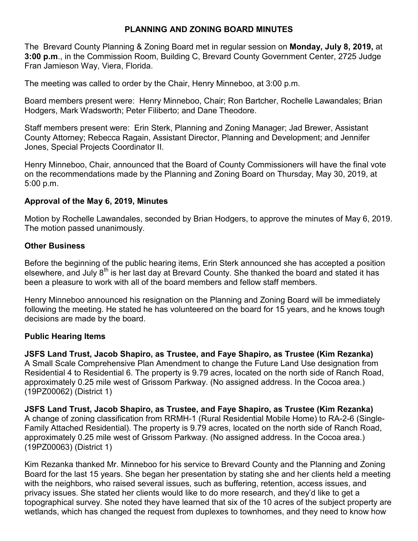# **PLANNING AND ZONING BOARD MINUTES**

The Brevard County Planning & Zoning Board met in regular session on **Monday, July 8, 2019,** at **3:00 p.m**., in the Commission Room, Building C, Brevard County Government Center, 2725 Judge Fran Jamieson Way, Viera, Florida.

The meeting was called to order by the Chair, Henry Minneboo, at 3:00 p.m.

Board members present were: Henry Minneboo, Chair; Ron Bartcher, Rochelle Lawandales; Brian Hodgers, Mark Wadsworth; Peter Filiberto; and Dane Theodore.

Staff members present were: Erin Sterk, Planning and Zoning Manager; Jad Brewer, Assistant County Attorney; Rebecca Ragain, Assistant Director, Planning and Development; and Jennifer Jones, Special Projects Coordinator II.

Henry Minneboo, Chair, announced that the Board of County Commissioners will have the final vote on the recommendations made by the Planning and Zoning Board on Thursday, May 30, 2019, at 5:00 p.m.

### **Approval of the May 6, 2019, Minutes**

Motion by Rochelle Lawandales, seconded by Brian Hodgers, to approve the minutes of May 6, 2019. The motion passed unanimously.

### **Other Business**

Before the beginning of the public hearing items, Erin Sterk announced she has accepted a position elsewhere, and July  $8<sup>th</sup>$  is her last day at Brevard County. She thanked the board and stated it has been a pleasure to work with all of the board members and fellow staff members.

Henry Minneboo announced his resignation on the Planning and Zoning Board will be immediately following the meeting. He stated he has volunteered on the board for 15 years, and he knows tough decisions are made by the board.

### **Public Hearing Items**

**JSFS Land Trust, Jacob Shapiro, as Trustee, and Faye Shapiro, as Trustee (Kim Rezanka)** A Small Scale Comprehensive Plan Amendment to change the Future Land Use designation from Residential 4 to Residential 6. The property is 9.79 acres, located on the north side of Ranch Road, approximately 0.25 mile west of Grissom Parkway. (No assigned address. In the Cocoa area.) (19PZ00062) (District 1)

**JSFS Land Trust, Jacob Shapiro, as Trustee, and Faye Shapiro, as Trustee (Kim Rezanka)** A change of zoning classification from RRMH-1 (Rural Residential Mobile Home) to RA-2-6 (Single-Family Attached Residential). The property is 9.79 acres, located on the north side of Ranch Road, approximately 0.25 mile west of Grissom Parkway. (No assigned address. In the Cocoa area.) (19PZ00063) (District 1)

Kim Rezanka thanked Mr. Minneboo for his service to Brevard County and the Planning and Zoning Board for the last 15 years. She began her presentation by stating she and her clients held a meeting with the neighbors, who raised several issues, such as buffering, retention, access issues, and privacy issues. She stated her clients would like to do more research, and they'd like to get a topographical survey. She noted they have learned that six of the 10 acres of the subject property are wetlands, which has changed the request from duplexes to townhomes, and they need to know how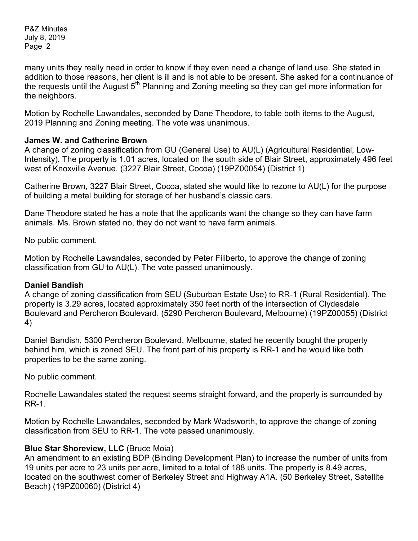many units they really need in order to know if they even need a change of land use. She stated in addition to those reasons, her client is ill and is not able to be present. She asked for a continuance of the requests until the August  $5<sup>th</sup>$  Planning and Zoning meeting so they can get more information for the neighbors.

Motion by Rochelle Lawandales, seconded by Dane Theodore, to table both items to the August, 2019 Planning and Zoning meeting. The vote was unanimous.

### **James W. and Catherine Brown**

A change of zoning classification from GU (General Use) to AU(L) (Agricultural Residential, Low-Intensity). The property is 1.01 acres, located on the south side of Blair Street, approximately 496 feet west of Knoxville Avenue. (3227 Blair Street, Cocoa) (19PZ00054) (District 1)

Catherine Brown, 3227 Blair Street, Cocoa, stated she would like to rezone to AU(L) for the purpose of building a metal building for storage of her husband's classic cars.

Dane Theodore stated he has a note that the applicants want the change so they can have farm animals. Ms. Brown stated no, they do not want to have farm animals.

No public comment.

Motion by Rochelle Lawandales, seconded by Peter Filiberto, to approve the change of zoning classification from GU to AU(L). The vote passed unanimously.

### **Daniel Bandish**

A change of zoning classification from SEU (Suburban Estate Use) to RR-1 (Rural Residential). The property is 3.29 acres, located approximately 350 feet north of the intersection of Clydesdale Boulevard and Percheron Boulevard. (5290 Percheron Boulevard, Melbourne) (19PZ00055) (District 4)

Daniel Bandish, 5300 Percheron Boulevard, Melbourne, stated he recently bought the property behind him, which is zoned SEU. The front part of his property is RR-1 and he would like both properties to be the same zoning.

No public comment.

Rochelle Lawandales stated the request seems straight forward, and the property is surrounded by RR-1.

Motion by Rochelle Lawandales, seconded by Mark Wadsworth, to approve the change of zoning classification from SEU to RR-1. The vote passed unanimously.

# **Blue Star Shoreview, LLC** (Bruce Moia)

An amendment to an existing BDP (Binding Development Plan) to increase the number of units from 19 units per acre to 23 units per acre, limited to a total of 188 units. The property is 8.49 acres, located on the southwest corner of Berkeley Street and Highway A1A. (50 Berkeley Street, Satellite Beach) (19PZ00060) (District 4)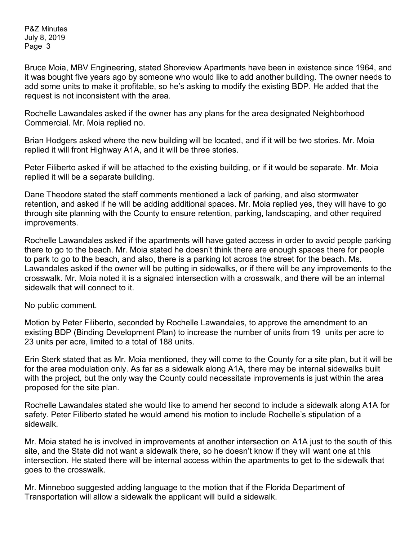Bruce Moia, MBV Engineering, stated Shoreview Apartments have been in existence since 1964, and it was bought five years ago by someone who would like to add another building. The owner needs to add some units to make it profitable, so he's asking to modify the existing BDP. He added that the request is not inconsistent with the area.

Rochelle Lawandales asked if the owner has any plans for the area designated Neighborhood Commercial. Mr. Moia replied no.

Brian Hodgers asked where the new building will be located, and if it will be two stories. Mr. Moia replied it will front Highway A1A, and it will be three stories.

Peter Filiberto asked if will be attached to the existing building, or if it would be separate. Mr. Moia replied it will be a separate building.

Dane Theodore stated the staff comments mentioned a lack of parking, and also stormwater retention, and asked if he will be adding additional spaces. Mr. Moia replied yes, they will have to go through site planning with the County to ensure retention, parking, landscaping, and other required improvements.

Rochelle Lawandales asked if the apartments will have gated access in order to avoid people parking there to go to the beach. Mr. Moia stated he doesn't think there are enough spaces there for people to park to go to the beach, and also, there is a parking lot across the street for the beach. Ms. Lawandales asked if the owner will be putting in sidewalks, or if there will be any improvements to the crosswalk. Mr. Moia noted it is a signaled intersection with a crosswalk, and there will be an internal sidewalk that will connect to it.

No public comment.

Motion by Peter Filiberto, seconded by Rochelle Lawandales, to approve the amendment to an existing BDP (Binding Development Plan) to increase the number of units from 19 units per acre to 23 units per acre, limited to a total of 188 units.

Erin Sterk stated that as Mr. Moia mentioned, they will come to the County for a site plan, but it will be for the area modulation only. As far as a sidewalk along A1A, there may be internal sidewalks built with the project, but the only way the County could necessitate improvements is just within the area proposed for the site plan.

Rochelle Lawandales stated she would like to amend her second to include a sidewalk along A1A for safety. Peter Filiberto stated he would amend his motion to include Rochelle's stipulation of a sidewalk.

Mr. Moia stated he is involved in improvements at another intersection on A1A just to the south of this site, and the State did not want a sidewalk there, so he doesn't know if they will want one at this intersection. He stated there will be internal access within the apartments to get to the sidewalk that goes to the crosswalk.

Mr. Minneboo suggested adding language to the motion that if the Florida Department of Transportation will allow a sidewalk the applicant will build a sidewalk.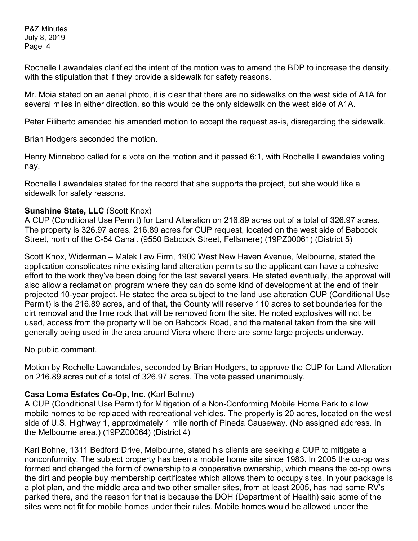Rochelle Lawandales clarified the intent of the motion was to amend the BDP to increase the density, with the stipulation that if they provide a sidewalk for safety reasons.

Mr. Moia stated on an aerial photo, it is clear that there are no sidewalks on the west side of A1A for several miles in either direction, so this would be the only sidewalk on the west side of A1A.

Peter Filiberto amended his amended motion to accept the request as-is, disregarding the sidewalk.

Brian Hodgers seconded the motion.

Henry Minneboo called for a vote on the motion and it passed 6:1, with Rochelle Lawandales voting nay.

Rochelle Lawandales stated for the record that she supports the project, but she would like a sidewalk for safety reasons.

# **Sunshine State, LLC** (Scott Knox)

A CUP (Conditional Use Permit) for Land Alteration on 216.89 acres out of a total of 326.97 acres. The property is 326.97 acres. 216.89 acres for CUP request, located on the west side of Babcock Street, north of the C-54 Canal. (9550 Babcock Street, Fellsmere) (19PZ00061) (District 5)

Scott Knox, Widerman – Malek Law Firm, 1900 West New Haven Avenue, Melbourne, stated the application consolidates nine existing land alteration permits so the applicant can have a cohesive effort to the work they've been doing for the last several years. He stated eventually, the approval will also allow a reclamation program where they can do some kind of development at the end of their projected 10-year project. He stated the area subject to the land use alteration CUP (Conditional Use Permit) is the 216.89 acres, and of that, the County will reserve 110 acres to set boundaries for the dirt removal and the lime rock that will be removed from the site. He noted explosives will not be used, access from the property will be on Babcock Road, and the material taken from the site will generally being used in the area around Viera where there are some large projects underway.

No public comment.

Motion by Rochelle Lawandales, seconded by Brian Hodgers, to approve the CUP for Land Alteration on 216.89 acres out of a total of 326.97 acres. The vote passed unanimously.

# **Casa Loma Estates Co-Op, Inc.** (Karl Bohne)

A CUP (Conditional Use Permit) for Mitigation of a Non-Conforming Mobile Home Park to allow mobile homes to be replaced with recreational vehicles. The property is 20 acres, located on the west side of U.S. Highway 1, approximately 1 mile north of Pineda Causeway. (No assigned address. In the Melbourne area.) (19PZ00064) (District 4)

Karl Bohne, 1311 Bedford Drive, Melbourne, stated his clients are seeking a CUP to mitigate a nonconformity. The subject property has been a mobile home site since 1983. In 2005 the co-op was formed and changed the form of ownership to a cooperative ownership, which means the co-op owns the dirt and people buy membership certificates which allows them to occupy sites. In your package is a plot plan, and the middle area and two other smaller sites, from at least 2005, has had some RV's parked there, and the reason for that is because the DOH (Department of Health) said some of the sites were not fit for mobile homes under their rules. Mobile homes would be allowed under the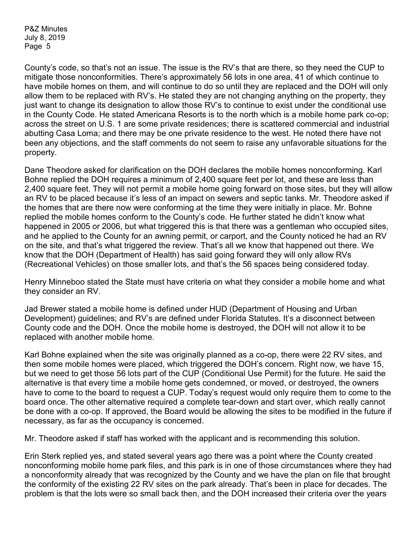County's code, so that's not an issue. The issue is the RV's that are there, so they need the CUP to mitigate those nonconformities. There's approximately 56 lots in one area, 41 of which continue to have mobile homes on them, and will continue to do so until they are replaced and the DOH will only allow them to be replaced with RV's. He stated they are not changing anything on the property, they just want to change its designation to allow those RV's to continue to exist under the conditional use in the County Code. He stated Americana Resorts is to the north which is a mobile home park co-op; across the street on U.S. 1 are some private residences; there is scattered commercial and industrial abutting Casa Loma; and there may be one private residence to the west. He noted there have not been any objections, and the staff comments do not seem to raise any unfavorable situations for the property.

Dane Theodore asked for clarification on the DOH declares the mobile homes nonconforming. Karl Bohne replied the DOH requires a minimum of 2,400 square feet per lot, and these are less than 2,400 square feet. They will not permit a mobile home going forward on those sites, but they will allow an RV to be placed because it's less of an impact on sewers and septic tanks. Mr. Theodore asked if the homes that are there now were conforming at the time they were initially in place. Mr. Bohne replied the mobile homes conform to the County's code. He further stated he didn't know what happened in 2005 or 2006, but what triggered this is that there was a gentleman who occupied sites, and he applied to the County for an awning permit, or carport, and the County noticed he had an RV on the site, and that's what triggered the review. That's all we know that happened out there. We know that the DOH (Department of Health) has said going forward they will only allow RVs (Recreational Vehicles) on those smaller lots, and that's the 56 spaces being considered today.

Henry Minneboo stated the State must have criteria on what they consider a mobile home and what they consider an RV.

Jad Brewer stated a mobile home is defined under HUD (Department of Housing and Urban Development) guidelines; and RV's are defined under Florida Statutes. It's a disconnect between County code and the DOH. Once the mobile home is destroyed, the DOH will not allow it to be replaced with another mobile home.

Karl Bohne explained when the site was originally planned as a co-op, there were 22 RV sites, and then some mobile homes were placed, which triggered the DOH's concern. Right now, we have 15, but we need to get those 56 lots part of the CUP (Conditional Use Permit) for the future. He said the alternative is that every time a mobile home gets condemned, or moved, or destroyed, the owners have to come to the board to request a CUP. Today's request would only require them to come to the board once. The other alternative required a complete tear-down and start over, which really cannot be done with a co-op. If approved, the Board would be allowing the sites to be modified in the future if necessary, as far as the occupancy is concerned.

Mr. Theodore asked if staff has worked with the applicant and is recommending this solution.

Erin Sterk replied yes, and stated several years ago there was a point where the County created nonconforming mobile home park files, and this park is in one of those circumstances where they had a nonconformity already that was recognized by the County and we have the plan on file that brought the conformity of the existing 22 RV sites on the park already. That's been in place for decades. The problem is that the lots were so small back then, and the DOH increased their criteria over the years